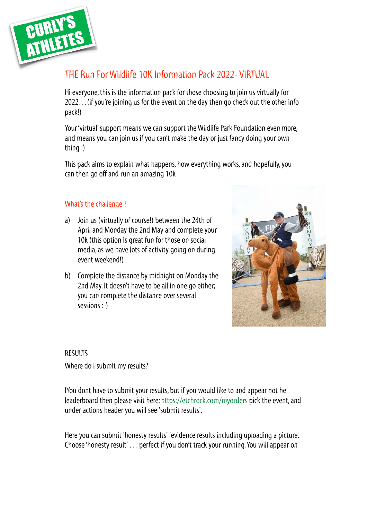

# THE Run For Wildlife 10K Information Pack 2022- VIRTUAL

Hi everyone, this is the information pack for those choosing to join us virtually for 2022…(if you're joining us for the event on the day then go check out the other info pack!)

Your 'virtual' support means we can support the Wildlife Park Foundation even more, and means you can join us if you can't make the day or just fancy doing your own thing :)

This pack aims to explain what happens, how everything works, and hopefully, you can then go off and run an amazing 10k

## What's the challenge ?

- a) Join us (virtually of course!) between the 24th of April and Monday the 2nd May and complete your 10k (this option is great fun for those on social media, as we have lots of activity going on during event weekend!)
- b) Complete the distance by midnight on Monday the 2nd May. It doesn't have to be all in one go either; you can complete the distance over several sessions :-)



# RESULTS Where do I submit my results?

IYou dont have to submit your results, but if you would like to and appear not he leaderboard then please visit here:<https://etchrock.com/myorders> pick the event, and under actions header you will see 'submit results'.

Here you can submit 'honesty results' 'evidence results including uploading a picture. Choose 'honesty result' … perfect if you don't track your running. You will appear on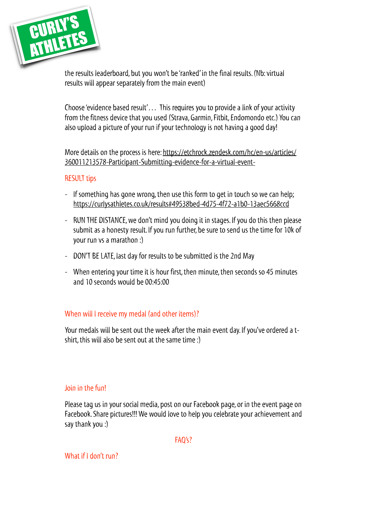

the results leaderboard, but you won't be 'ranked' in the final results. (Nb: virtual results will appear separately from the main event)

Choose 'evidence based result'… This requires you to provide a link of your activity from the fitness device that you used (Strava, Garmin, Fitbit, Endomondo etc.) You can also upload a picture of your run if your technology is not having a good day!

More details on the process is here: [https://etchrock.zendesk.com/hc/en-us/articles/](https://etchrock.zendesk.com/hc/en-us/articles/360011213578-Participant-Submitting-evidence-for-a-virtual-event-) [360011213578-Participant-Submitting-evidence-for-a-virtual-event-](https://etchrock.zendesk.com/hc/en-us/articles/360011213578-Participant-Submitting-evidence-for-a-virtual-event-)

#### RESULT tips

- If something has gone wrong, then use this form to get in touch so we can help; <https://curlysathletes.co.uk/results#49538bed-4d75-4f72-a1b0-13aec5668ccd>
- RUN THE DISTANCE, we don't mind you doing it in stages. If you do this then please submit as a honesty result. If you run further, be sure to send us the time for 10k of your run vs a marathon :)
- DON'T BE LATE, last day for results to be submitted is the 2nd May
- When entering your time it is hour first, then minute, then seconds so 45 minutes and 10 seconds would be 00:45:00

## When will I receive my medal (and other items)?

Your medals will be sent out the week after the main event day. If you've ordered a tshirt, this will also be sent out at the same time :)

#### Join in the fun!

Please tag us in your social media, post on our Facebook page, or in the event page on Facebook. Share pictures!!! We would love to help you celebrate your achievement and say thank you :)

FAQ's?

What if I don't run?